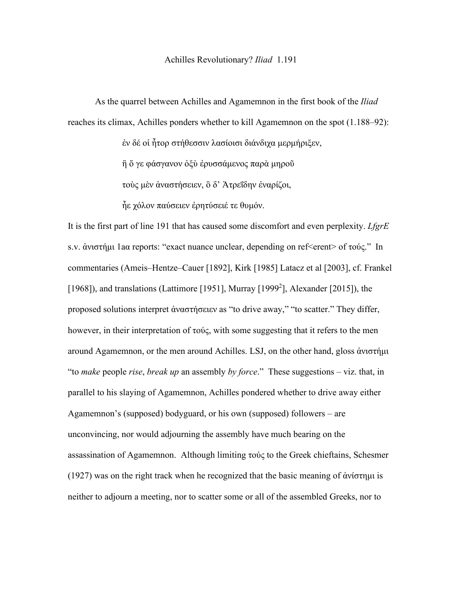## Achilles Revolutionary? *Iliad* 1.191

As the quarrel between Achilles and Agamemnon in the first book of the *Iliad*  reaches its climax, Achilles ponders whether to kill Agamemnon on the spot (1.188–92):

ἐν δέ οἱ ἦτορ στήθεσσιν λασίοισι διάνδιχα μερμήριξεν,

ἢ ὅ γε φάσγανον ὀξὺ ἐρυσσάμενος παρὰ μηροῦ

τοὺς μὲν ἀναστήσειεν, ὃ δ' Ἀτρεΐδην ἐναρίζοι,

ἦε χόλον παύσειεν ἐρητύσειέ τε θυμόν.

It is the first part of line 191 that has caused some discomfort and even perplexity. *LfgrE* s.v. ἀνιστήμι 1aα reports: "exact nuance unclear, depending on ref<erent> of τούς." In commentaries (Ameis–Hentze–Cauer [1892], Kirk [1985] Latacz et al [2003], cf. Frankel [1968]), and translations (Lattimore [1951], Murray [1999<sup>2</sup>], Alexander [2015]), the proposed solutions interpret ἀναστήσειεν as "to drive away," "to scatter." They differ, however, in their interpretation of τούς, with some suggesting that it refers to the men around Agamemnon, or the men around Achilles. LSJ, on the other hand, gloss ἀνιστήμι "to *make* people *rise*, *break up* an assembly *by force*." These suggestions – viz. that, in parallel to his slaying of Agamemnon, Achilles pondered whether to drive away either Agamemnon's (supposed) bodyguard, or his own (supposed) followers – are unconvincing, nor would adjourning the assembly have much bearing on the assassination of Agamemnon. Although limiting τούς to the Greek chieftains, Schesmer (1927) was on the right track when he recognized that the basic meaning of ἀνίστημι is neither to adjourn a meeting, nor to scatter some or all of the assembled Greeks, nor to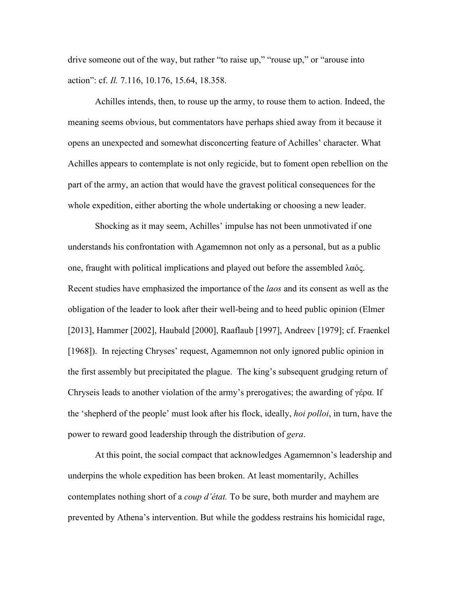drive someone out of the way, but rather "to raise up," "rouse up," or "arouse into action": cf. *Il.* 7.116, 10.176, 15.64, 18.358.

Achilles intends, then, to rouse up the army, to rouse them to action. Indeed, the meaning seems obvious, but commentators have perhaps shied away from it because it opens an unexpected and somewhat disconcerting feature of Achilles' character. What Achilles appears to contemplate is not only regicide, but to foment open rebellion on the part of the army, an action that would have the gravest political consequences for the whole expedition, either aborting the whole undertaking or choosing a new leader.

Shocking as it may seem, Achilles' impulse has not been unmotivated if one understands his confrontation with Agamemnon not only as a personal, but as a public one, fraught with political implications and played out before the assembled λαός. Recent studies have emphasized the importance of the *laos* and its consent as well as the obligation of the leader to look after their well-being and to heed public opinion (Elmer [2013], Hammer [2002], Haubald [2000], Raaflaub [1997], Andreev [1979]; cf. Fraenkel [1968]). In rejecting Chryses' request, Agamemnon not only ignored public opinion in the first assembly but precipitated the plague. The king's subsequent grudging return of Chryseis leads to another violation of the army's prerogatives; the awarding of γέρα. If the 'shepherd of the people' must look after his flock, ideally, *hoi polloi*, in turn, have the power to reward good leadership through the distribution of *gera*.

At this point, the social compact that acknowledges Agamemnon's leadership and underpins the whole expedition has been broken. At least momentarily, Achilles contemplates nothing short of a *coup d'état.* To be sure, both murder and mayhem are prevented by Athena's intervention. But while the goddess restrains his homicidal rage,